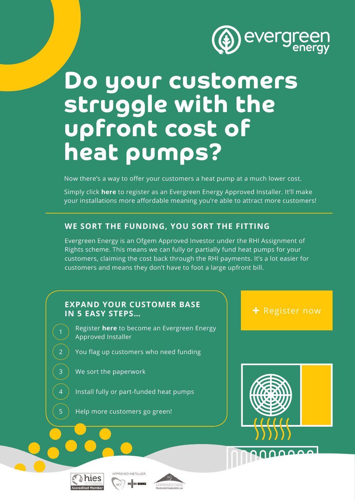

# **Do your customers struggle with the upfront cost of heat pumps?**

Now there's a way to offer your customers a heat pump at a much lower cost.

Simply click **here** to register as an Evergreen Energy Approved Installer. It'll make [your installations more affordable meaning you're able to attract more customers!](https://www.evergreenenergy.co.uk/approvedinstaller/)

# **WE SORT THE FUNDING, YOU SORT THE FITTING**

Evergreen Energy is an Ofgem Approved Investor under the RHI Assignment of Rights scheme. This means we can fully or partially fund heat pumps for your customers, claiming the cost back through the RHI payments. It's a lot easier for customers and means they don't have to foot a large upfront bill.

# EXPAND YOUR CUSTOMER BASE<br>IN 5 FASY STEPS **EXPANDING THE REGIST IN 5 EASY STEPS…**

Register **here** [to become an Evergreen Energy](https://www.evergreenenergy.co.uk/approvedinstaller/) Approved Installer

- You flag up customers who need funding
- We sort the paperwork

2

3

4

5

- Install fully or part-funded heat pumps
- Help more customers go green!